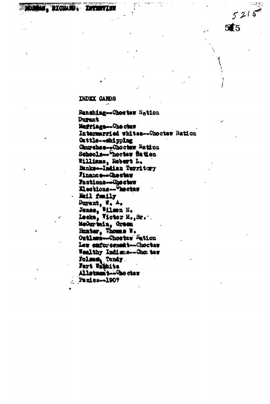## **INDEX CARDS**

**The Mark** 

rozi

Ranching-"Thoetaw Nation **Durant** Maggiage - Che chan Intermarried whites--Chootaw Nation Cattle-webipping Churches--Choctaw Mation Schools -- hoctew flatton Williams, Robert L. Bankse-Indian Territory Finance-chacter Factions-Dectaw Elections--Geotay Mail funily Durant, W. A.<br>Jonas, Wilson N.<br>Lecke, Victor M., Sr. MeGuriain, Green Hunter, Thomas W. Outlaws-Chostaw Mation Law enforcement --- Choctaw Wealthy Indians-Cho: taw Folsom Tandy Fort Wathlite Allatmantww@octaw Panics--1907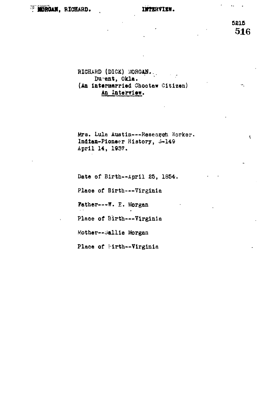# **MORGAN, RICHARD.**

#### INTERVIEW.

5215 516

Ψ.

 $\overline{\mathbf{C}}$ 

 $\epsilon$  .  $\ddot{\phantom{1}}$ 

# RICHARD (DICK) MORGAN. Dumant, Okla. (An intermarried Choctaw Citizen) An Interview.

Mrs. Lula Austin---Research Worker. Indian-Pioneer History, 3-149 April 14, 1937.

Date of Birth--April 25, 1854.

Place of Birth---Virginia

Father---W. E. Morgan

Place of Birth --- Virginia

Mother--Sallie Morgan

Place of Eirth--Virginia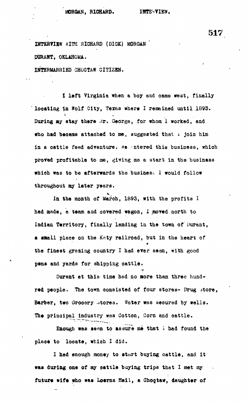**ZHTSHTIKW fflTB RICHARD (DICK) MORGAH '** DURANT, OKLAHOMA.

**INTERMARRIED CHOOTAW CITIZEN.**

**X left Virginia when a boy and oame west, finally ' locating in Wolf City, Texas where I remained until 1893.** During my stay there .x. George, for whom I worked, and **who had became attached to me, suggested that i join him** in a cattle feed adventure, *ne* intered this business, which **proved profitable to me, giving me a start in the business which was to be afterwards the business 1 would follow throughout ay later years.**

**In the month of March, 1893, with the profits 1** had made, a team and covered wagon, I moved north to **Indian Territory, finally landing in the town of Durant,** a small place on the Katy railroad, but in the heart of a the finest grazing country I had ever seen, with good pens and yards for shipping cattle.

**pension of shipping cattle.** 

**place to locate, which I did.**

Durant at this time had no more than three hundred people. The town consisted of four stores- Drug store, **red people. The town consisted of four stores- Drug ^tore,** Barber, two Grocery stores. Water was secured by wells.

Enough was seen to assure me that i had found the **Enough was seen to assure me that i had found the** place to locate, which I did.

The principal industry was considered in the principal industry was considered in the cattle of the cattle of the cattle of the cattle of the cattle of the cattle of the cattle of the cattle of the cattle of the cattle of

I had enough money to start buying cattle, and it **I had enough money to start buying cattle, and it** was during one of my cattle buying trips that I met my **was during one of my cattle baying trips that I met my** future wife who was Loerna Nail, a Choctaw, daughter of

**future wife who was Lotrna Hail, a Cbogtaw, daughter of**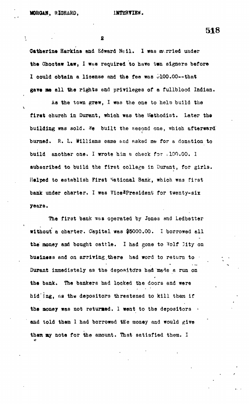Ã.

**518**

**- 2**

Gatherine Harkins and Sdward Heil. I was nv.rried under the Choctaw law, I was required to have twn signers before I could obtain a license and the fee was 5100.00--that **gave me all the rights end privileges of a fullblood Indian.**

As the town grew, I was the one to help build the first church in Durant, which was the Methodist. Later the building was sold. We built the second one, which afterward **burned. R. L. Williams came end asked me for & donation to build another one, I wrote him a check for ;100.00. I subscribed to build the first college in Durant, for girls. Helped to establish First National Bank, which was first** bank under charter. I was Vice<sup>\*</sup>President for twenty-six **years.**

**The first bank \*ss operated by Jones and Ledbetter without a charter. Capital was \$5000.00. I borrowed all** the money and bought cattle. I had gone to <sup>yolf</sup> lity on **business and on arriving.there had word to return to Durant immediately as the depoaitcrrs had made a run on the bank. The bankers had locked the doors and were** hid ing, as the depositors threatened to kill them if the money was not returned. I went to the depositors  $\rightarrow$ and told them I had borrowed the money and would give **tham ay note for the amount. That satisfied them. I** o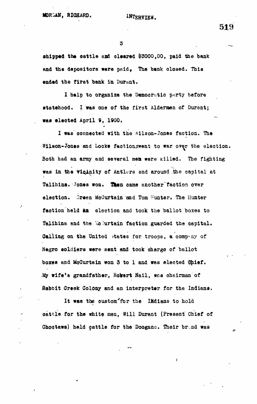**3 \_**

ahipped the cattle and cleared \$3000,00, paid the bank and the depositors were paid, The bank closed. This **ended the first bank in Durant.**

**I help to organize the Democratic pnrty before statehood. I was one of the first Aldermen of Durant; was elected April 9, 1900.**

**I WEB connected with the Wilson-Jones faction. The Wilson-Jones and Locke factionswent to war over the election. Both had an army and several men were killed. The fighting** was in the *viginity* of Antlers and around the capital at Talihina. Jones won. Then came another faction over election. Green McCurtain and Tom Sunter. The Hunter **faction held an election and took the ballot boxes to** Talihina and the We urtain faction guarded the capital. Calling on the United states for troops, a company of **Negro soldiers were sent and took charge of ballot boxes and McCurtein won 3 to 1 and was elected dhief. My wife's grandfather, Robert Nail, wea cheirman of fiabbit Creek Colony and an interpreter for the Indiana.**

It was the custom<sup>-</sup>for the IMdians to hold **oattle for the white men, Will Durant (Present Chief of Choctews) held cattle for the Dooganc. Their br.nd was**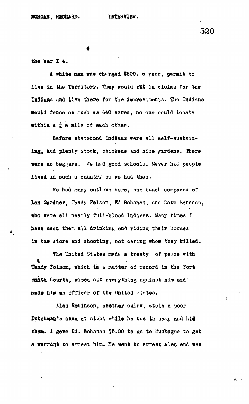### **the bar Z 4.**

**A white aan was oh^rged \$500. a year, permit to live la the Territory. They would put in claims for the Indians and live there for the improvements. The Indians would fence &a much as 640 acres, no one could locate within a**  $\frac{1}{4}$  a mile of each other.

Before statehood Indians were all self-sustain**ing, had plenty 3tock, chickens and nice gardens. There were no beggers.** We had good schools. Never had people **lived in such a country as we had then.**

**We had many outlaws here, one bunch composed of Lon Gardner, Tandy Folsom, Bd Bohanan, and Oave Bohanaa,** who were all nearly full-blood Indians. Many times I **have seen them all drinking and riding their horses in the store and shooting, not caring whom they killed.**

**The United States made a treaty of peace with K Tandy folaom, which is & matter of record in the Fort** Smith Courts, wiped out everything against him and **made him an officer of the United States.**

**Alec Robinson, another oulaw, stole a poor Dutohman<sup>f</sup>'s oxen at night while he eras in camp and hid** them. I gave Ed. Bohanan \$5.00 to go to Muskogee to get **a warrant to arrest him. He want to arrest Alee and was**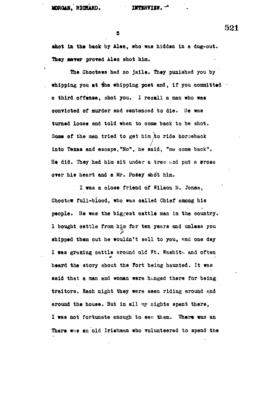$\mathbf{5}$ 

shot in the back by Alec, who was hidden in a dug-out. **shot In th\* back by Alee, who was hidden in a dug-out.**

The Choctaws had no jails. They punished you by whipping you at the whipping post and, if you committed you a third offense, shot you. I recall a man who was **a convicted of murder and sentenced to die. He was** turned loose and told when to come back to be shot. Some of the men tried to get him to ride horseback into Texas and escape, "No", he said, "me come back". He did. They had him sit under a tree and put a **srosa** over his heart and a Mr. Posey shot him.

I was a close friend of Wilson N. Jones, Chootaw full-blood, who was called Chief among his people. He was the biggest cattle man in the country. I bought cattle from him for ten years and unless you shipped them out he wouldn't sell to you, and one day I was grazing cattle around old Ft. Washith and often heard the story about the Fort being haunted. It was **heard the story about the Fort being haunted. It was said that a man and woman were hanged there for being I was not fortunate enough to sen them. Th.er« was an** There was an old Irishman who volunteered to spend the

**There, was an old Irishman who volunteered to spend the**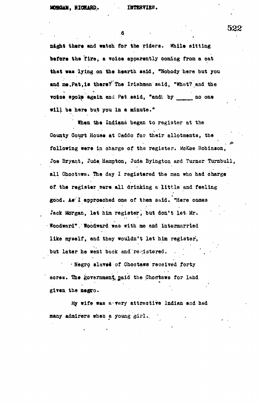$6 \bullet$ 

naght there and watch for the riders. While sitting before the fire, a voice apparently coming from a cat that was lying on the hearth said, "Nobody here but you and me, Pat, is there? The Irishman said, "What? and the **voice spoke again and Pat said, "and the me in one vill be here but you in a minute."** 

When the Indians began to register at the County Court House at Caddo for their allotments, the following were in charge of the register. MoKee Robinson, Joe Bryant, Jude Hampton, Jude Byington and Turner Turnbull, all Choctaws. The day I registered the men who had charge of the register were all drinking a little and feeling good. As<sup>2</sup>I approached one of them said. "Here comes Jack Morgan, let him register, but don't let Mr. **Foodward"** Noodward was with me and intermarried like myself, and they wouldn't let him register, but later he went back and registered.

**but Negro slaved of Chootaws received forty** acres. The government, paid the Choctaws for land **aores. The govarnmen,^ paid the Chocrtaws for land**

My wife was a very attractive Indian and had many admirers when a young girl.

**many admirers when a young gir-1.. '•**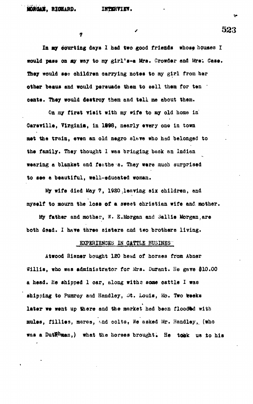**la ay oourtlng days X had two good friends whose houses I would pass on ay way to my glrl's-a Mra. Growdar and Mrs; Caaa. They would ••» ahlldren carrying notes to my girl from her** other beaus and would persuade them to sell them for ten ' **cents. They would destroy them and tell me about them.**

On my first visit with my wife to my old home in **Oarsrille, Virginia, In 1898, nearly every one In town** met the train, even an old negro slave who had belonged to **the family. They thought I was bringing back an Indian** wearing a blanket and feathe s. They were much surprised **to see a beautiful, well-sduoated woman.**

My wife died May 7, 1920, leaving six children, and **myself to mourn the lose of a sweet Christian wife and mother.**

**My father and mother, W. E.Morgan and Sallle Morgan,are both Ssad. I hare three sisters and t«o brothers living.**

## **EXPERIENCES IN CATTLE BUSINES**

**Atwood Risner bought 120 head of horses from Abner Willis, who was administrator for Mrs. Durant. He gave \$10.00 a head. He shipped 1 car, along withe some cattle I was** shipping to Pumroy and Handley, St. Louis, Mo. Two weeks **later we went up there and the market had been flooded with** mules, fillies, mares, and colts, We asked Mr. Handley, (who was a DutRhman,) what the horses brought. He tobk us to his

/ 523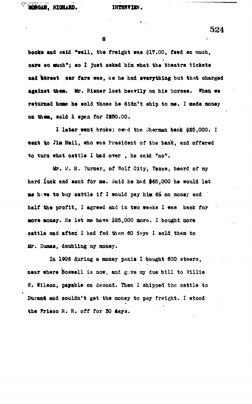8

books and said "well, the freight was \$17.00, feed so much, **oare so amah"; so I just asked him what the theatre tickets** and street car fare was, se he had everything but that charged **against taea. Mr. Risner lost hearily on his horses. When we** returned home he sold those he didn't ship to me. I made money **on them, sold I span for 5850.00.**

**1 later went broke; ow:-d the Jherman bank #25,000. I went to Jin Hall, who was President of the bank, and offered to turn what oattle I had over , he sett "no".**

**Mr. W. H. Purner, of Wolf City, Texas, heard, of my hard luck and sent for me. Said he had \$65,000 he would let** me have to buy cattle if I would pay him 6% on money and **half the profit, I agreed and in two weeks I was baok for ' more money.** He let me have \$25,000 more. I bought more cattle and after, I had fed them 60 days I sold them to **Mr. Duaas, doubling my money.**

**In 1906 during a money panic I bought 600 steers, near where Boswell Is now, and g;..ve my due bill to Willie 8. Wilson, payable on demand. Then 1 shipped the oattle to** Durant and couldn't get the money to pay freight. I stood **the Frlsoo R. R. off for 30 days.**

**524**